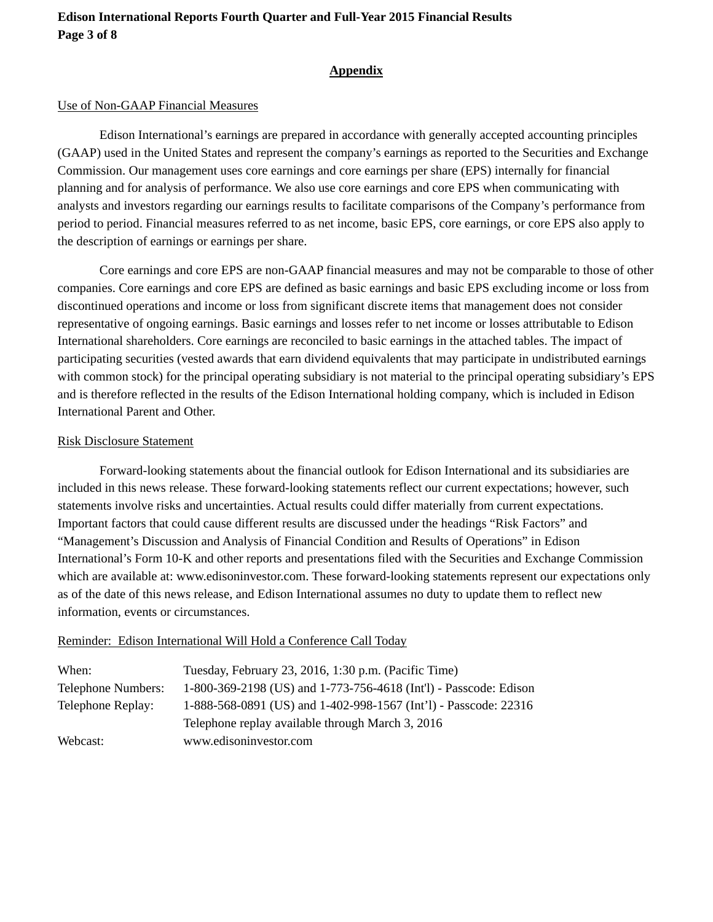### **Edison International Reports Fourth Quarter and Full-Year 2015 Financial Results Page 3 of 8**

#### **Appendix**

### Use of Non-GAAP Financial Measures

Edison International's earnings are prepared in accordance with generally accepted accounting principles (GAAP) used in the United States and represent the company's earnings as reported to the Securities and Exchange Commission. Our management uses core earnings and core earnings per share (EPS) internally for financial planning and for analysis of performance. We also use core earnings and core EPS when communicating with analysts and investors regarding our earnings results to facilitate comparisons of the Company's performance from period to period. Financial measures referred to as net income, basic EPS, core earnings, or core EPS also apply to the description of earnings or earnings per share.

Core earnings and core EPS are non-GAAP financial measures and may not be comparable to those of other companies. Core earnings and core EPS are defined as basic earnings and basic EPS excluding income or loss from discontinued operations and income or loss from significant discrete items that management does not consider representative of ongoing earnings. Basic earnings and losses refer to net income or losses attributable to Edison International shareholders. Core earnings are reconciled to basic earnings in the attached tables. The impact of participating securities (vested awards that earn dividend equivalents that may participate in undistributed earnings with common stock) for the principal operating subsidiary is not material to the principal operating subsidiary's EPS and is therefore reflected in the results of the Edison International holding company, which is included in Edison International Parent and Other.

### Risk Disclosure Statement

Forward-looking statements about the financial outlook for Edison International and its subsidiaries are included in this news release. These forward-looking statements reflect our current expectations; however, such statements involve risks and uncertainties. Actual results could differ materially from current expectations. Important factors that could cause different results are discussed under the headings "Risk Factors" and "Management's Discussion and Analysis of Financial Condition and Results of Operations" in Edison International's Form 10-K and other reports and presentations filed with the Securities and Exchange Commission which are available at: www.edisoninvestor.com. These forward-looking statements represent our expectations only as of the date of this news release, and Edison International assumes no duty to update them to reflect new information, events or circumstances.

#### Reminder: Edison International Will Hold a Conference Call Today

| When:                     | Tuesday, February 23, 2016, 1:30 p.m. (Pacific Time)              |
|---------------------------|-------------------------------------------------------------------|
| <b>Telephone Numbers:</b> | 1-800-369-2198 (US) and 1-773-756-4618 (Int'l) - Passcode: Edison |
| Telephone Replay:         | 1-888-568-0891 (US) and 1-402-998-1567 (Int'l) - Passcode: 22316  |
|                           | Telephone replay available through March 3, 2016                  |
| Webcast:                  | www.edisoninvestor.com                                            |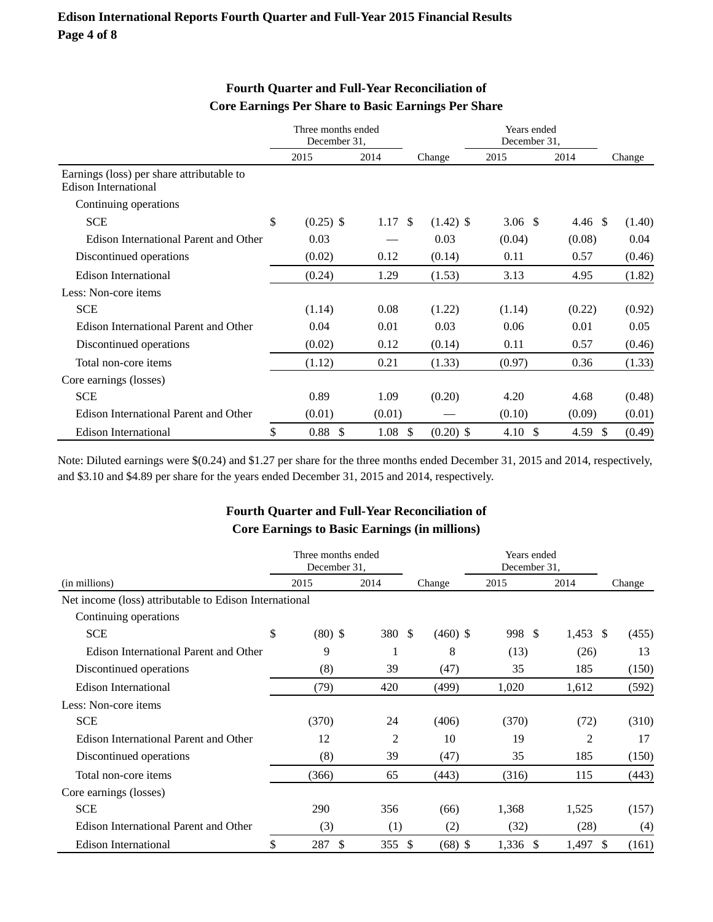|                                                                   | Three months ended<br>December 31, |             |        |        |             | Years ended<br>December 31, |                    |        |
|-------------------------------------------------------------------|------------------------------------|-------------|--------|--------|-------------|-----------------------------|--------------------|--------|
|                                                                   |                                    | 2015        | 2014   | Change |             | 2015                        | 2014               | Change |
| Earnings (loss) per share attributable to<br>Edison International |                                    |             |        |        |             |                             |                    |        |
| Continuing operations                                             |                                    |             |        |        |             |                             |                    |        |
| <b>SCE</b>                                                        | \$                                 | $(0.25)$ \$ | 1.17S  |        | $(1.42)$ \$ | 3.06 $\sqrt{ }$             | $4.46 \text{ }$ \$ | (1.40) |
| Edison International Parent and Other                             |                                    | 0.03        |        |        | 0.03        | (0.04)                      | (0.08)             | 0.04   |
| Discontinued operations                                           |                                    | (0.02)      | 0.12   |        | (0.14)      | 0.11                        | 0.57               | (0.46) |
| <b>Edison International</b>                                       |                                    | (0.24)      | 1.29   |        | (1.53)      | 3.13                        | 4.95               | (1.82) |
| Less: Non-core items                                              |                                    |             |        |        |             |                             |                    |        |
| <b>SCE</b>                                                        |                                    | (1.14)      | 0.08   |        | (1.22)      | (1.14)                      | (0.22)             | (0.92) |
| Edison International Parent and Other                             |                                    | 0.04        | 0.01   |        | 0.03        | 0.06                        | 0.01               | 0.05   |
| Discontinued operations                                           |                                    | (0.02)      | 0.12   |        | (0.14)      | 0.11                        | 0.57               | (0.46) |
| Total non-core items                                              |                                    | (1.12)      | 0.21   |        | (1.33)      | (0.97)                      | 0.36               | (1.33) |
| Core earnings (losses)                                            |                                    |             |        |        |             |                             |                    |        |
| <b>SCE</b>                                                        |                                    | 0.89        | 1.09   |        | (0.20)      | 4.20                        | 4.68               | (0.48) |
| Edison International Parent and Other                             |                                    | (0.01)      | (0.01) |        |             | (0.10)                      | (0.09)             | (0.01) |
| Edison International                                              | \$                                 | $0.88\;$ \$ | 1.08   | -S     | $(0.20)$ \$ | 4.10 \$                     | 4.59 $\frac{1}{2}$ | (0.49) |

#### **Fourth Quarter and Full-Year Reconciliation of Core Earnings Per Share to Basic Earnings Per Share**

Note: Diluted earnings were \$(0.24) and \$1.27 per share for the three months ended December 31, 2015 and 2014, respectively, and \$3.10 and \$4.89 per share for the years ended December 31, 2015 and 2014, respectively.

#### **Fourth Quarter and Full-Year Reconciliation of Core Earnings to Basic Earnings (in millions)**

|                                                        | Three months ended<br>December 31, |           |                |    |            | Years ended<br>December 31. |                |             |  |
|--------------------------------------------------------|------------------------------------|-----------|----------------|----|------------|-----------------------------|----------------|-------------|--|
| (in millions)                                          |                                    | 2015      | 2014           |    | Change     | 2015                        | 2014           | Change      |  |
| Net income (loss) attributable to Edison International |                                    |           |                |    |            |                             |                |             |  |
| Continuing operations                                  |                                    |           |                |    |            |                             |                |             |  |
| <b>SCE</b>                                             | \$                                 | $(80)$ \$ | 380 \$         |    | $(460)$ \$ | 998<br>-S                   | 1,453          | -S<br>(455) |  |
| Edison International Parent and Other                  |                                    | 9         |                |    | 8          | (13)                        | (26)           | 13          |  |
| Discontinued operations                                |                                    | (8)       | 39             |    | (47)       | 35                          | 185            | (150)       |  |
| <b>Edison International</b>                            |                                    | (79)      | 420            |    | (499)      | 1,020                       | 1,612          | (592)       |  |
| Less: Non-core items                                   |                                    |           |                |    |            |                             |                |             |  |
| <b>SCE</b>                                             |                                    | (370)     | 24             |    | (406)      | (370)                       | (72)           | (310)       |  |
| Edison International Parent and Other                  |                                    | 12        | $\overline{2}$ |    | 10         | 19                          | $\overline{2}$ | 17          |  |
| Discontinued operations                                |                                    | (8)       | 39             |    | (47)       | 35                          | 185            | (150)       |  |
| Total non-core items                                   |                                    | (366)     | 65             |    | (443)      | (316)                       | 115            | (443)       |  |
| Core earnings (losses)                                 |                                    |           |                |    |            |                             |                |             |  |
| <b>SCE</b>                                             |                                    | 290       | 356            |    | (66)       | 1,368                       | 1,525          | (157)       |  |
| Edison International Parent and Other                  |                                    | (3)       | (1)            |    | (2)        | (32)                        | (28)           | (4)         |  |
| Edison International                                   | \$                                 | \$<br>287 | 355            | \$ | $(68)$ \$  | $1,336$ \$                  | 1,497          | S<br>(161)  |  |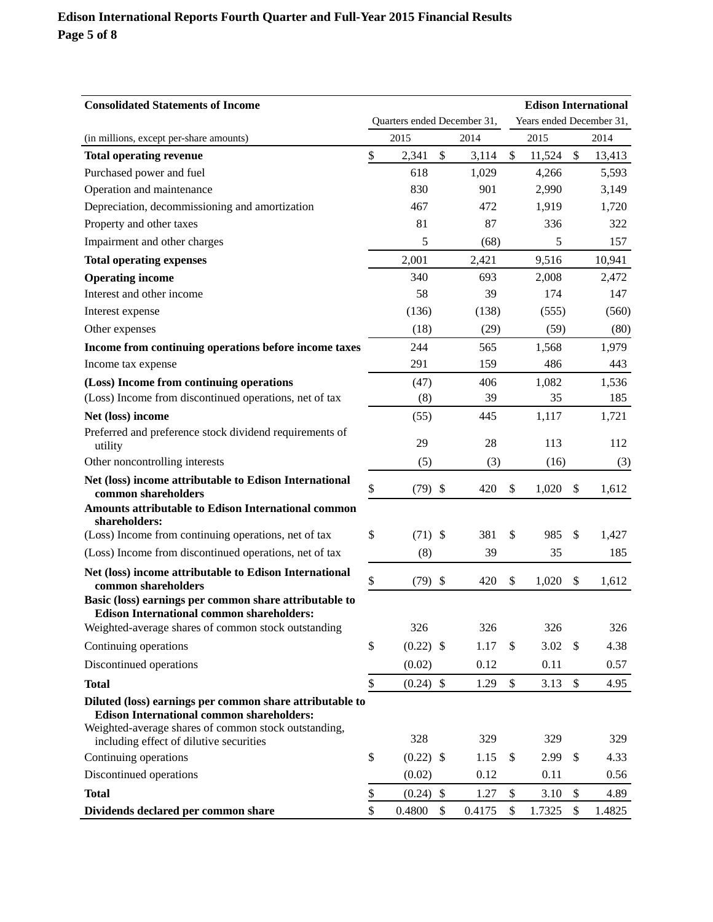### **Edison International Reports Fourth Quarter and Full-Year 2015 Financial Results Page 5 of 8**

| <b>Consolidated Statements of Income</b>                                                                     |                             |             |    |        |    | <b>Edison International</b> |        |        |  |
|--------------------------------------------------------------------------------------------------------------|-----------------------------|-------------|----|--------|----|-----------------------------|--------|--------|--|
|                                                                                                              | Quarters ended December 31, |             |    |        |    | Years ended December 31,    |        |        |  |
| (in millions, except per-share amounts)                                                                      |                             | 2015        |    | 2014   |    | 2015                        |        | 2014   |  |
| <b>Total operating revenue</b>                                                                               | \$                          | 2,341       | \$ | 3,114  | \$ | 11,524                      | \$     | 13,413 |  |
| Purchased power and fuel                                                                                     |                             | 618         |    | 1,029  |    | 4,266                       |        | 5,593  |  |
| Operation and maintenance                                                                                    |                             | 830         |    | 901    |    | 2,990                       |        | 3,149  |  |
| Depreciation, decommissioning and amortization                                                               |                             | 467         |    | 472    |    | 1,919                       |        | 1,720  |  |
| Property and other taxes                                                                                     |                             | 81          |    | 87     |    | 336                         |        | 322    |  |
| Impairment and other charges                                                                                 |                             | 5           |    | (68)   |    | 5                           |        | 157    |  |
| <b>Total operating expenses</b>                                                                              |                             | 2,001       |    | 2,421  |    | 9,516                       |        | 10,941 |  |
| <b>Operating income</b>                                                                                      |                             | 340         |    | 693    |    | 2,008                       |        | 2,472  |  |
| Interest and other income                                                                                    |                             | 58          |    | 39     |    | 174                         |        | 147    |  |
| Interest expense                                                                                             |                             | (136)       |    | (138)  |    | (555)                       |        | (560)  |  |
| Other expenses                                                                                               |                             | (18)        |    | (29)   |    | (59)                        |        | (80)   |  |
| Income from continuing operations before income taxes                                                        |                             | 244         |    | 565    |    | 1,568                       |        | 1,979  |  |
| Income tax expense                                                                                           |                             | 291         |    | 159    |    | 486                         |        | 443    |  |
| (Loss) Income from continuing operations                                                                     |                             | (47)        |    | 406    |    | 1,082                       |        | 1,536  |  |
| (Loss) Income from discontinued operations, net of tax                                                       |                             | (8)         |    | 39     |    | 35                          |        | 185    |  |
| Net (loss) income                                                                                            |                             | (55)        |    | 445    |    | 1,117                       |        | 1,721  |  |
| Preferred and preference stock dividend requirements of<br>utility                                           |                             | 29          |    | 28     |    | 113                         |        | 112    |  |
| Other noncontrolling interests                                                                               |                             | (5)         |    | (3)    |    | (16)                        |        | (3)    |  |
| Net (loss) income attributable to Edison International<br>common shareholders                                | \$                          | $(79)$ \$   |    | 420    | \$ | 1,020                       | \$     | 1,612  |  |
| Amounts attributable to Edison International common<br>shareholders:                                         |                             |             |    |        |    |                             |        |        |  |
| (Loss) Income from continuing operations, net of tax                                                         | \$                          | $(71)$ \$   |    | 381    | S  | 985                         | \$     | 1,427  |  |
| (Loss) Income from discontinued operations, net of tax                                                       |                             | (8)         |    | 39     |    | 35                          |        | 185    |  |
| Net (loss) income attributable to Edison International<br>common shareholders                                | \$                          | (79)        | \$ | 420    | \$ | 1,020                       | \$     | 1,612  |  |
| Basic (loss) earnings per common share attributable to<br><b>Edison International common shareholders:</b>   |                             |             |    |        |    |                             |        |        |  |
| Weighted-average shares of common stock outstanding                                                          |                             | 326         |    | 326    |    | 326                         |        | 326    |  |
| Continuing operations                                                                                        | \$                          | $(0.22)$ \$ |    | 1.17   | \$ | 3.02                        | \$     | 4.38   |  |
| Discontinued operations                                                                                      |                             | (0.02)      |    | 0.12   |    | 0.11                        |        | 0.57   |  |
| <b>Total</b>                                                                                                 | \$                          | $(0.24)$ \$ |    | 1.29   | \$ | 3.13                        | \$     | 4.95   |  |
| Diluted (loss) earnings per common share attributable to<br><b>Edison International common shareholders:</b> |                             |             |    |        |    |                             |        |        |  |
| Weighted-average shares of common stock outstanding,<br>including effect of dilutive securities              |                             | 328         |    | 329    |    | 329                         |        | 329    |  |
| Continuing operations                                                                                        | \$                          | $(0.22)$ \$ |    | 1.15   | \$ | 2.99                        | \$     | 4.33   |  |
| Discontinued operations                                                                                      |                             | (0.02)      |    | 0.12   |    | 0.11                        |        | 0.56   |  |
| <b>Total</b>                                                                                                 | \$                          | $(0.24)$ \$ |    | 1.27   | \$ | 3.10                        | $\$\,$ | 4.89   |  |
| Dividends declared per common share                                                                          | \$                          | 0.4800      | \$ | 0.4175 | \$ | 1.7325                      | \$     | 1.4825 |  |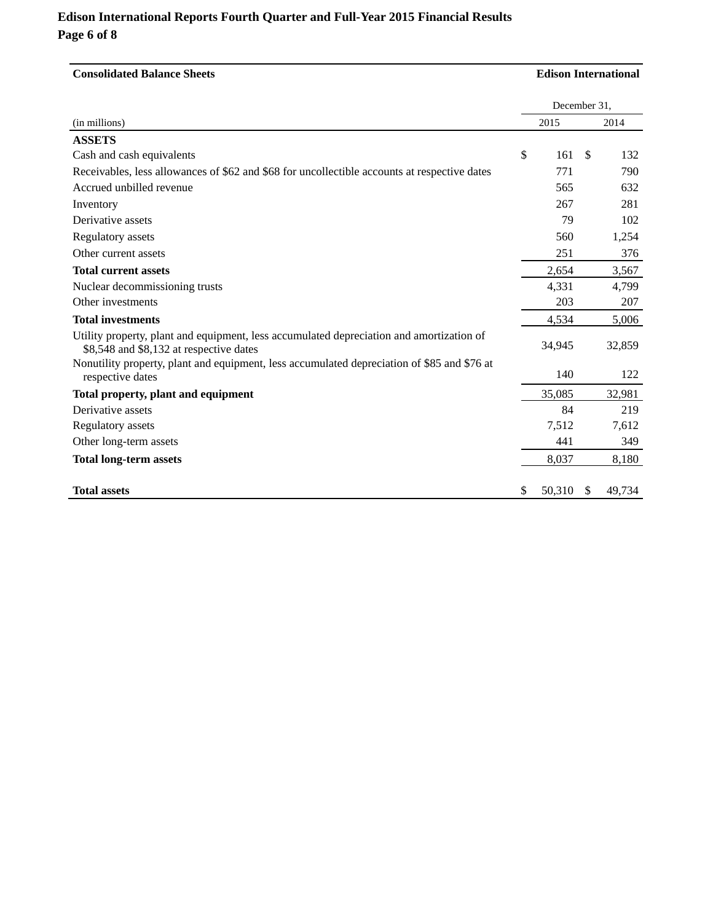### **Edison International Reports Fourth Quarter and Full-Year 2015 Financial Results Page 6 of 8**

| <b>Consolidated Balance Sheets</b>                                                                                                  |              |        | <b>Edison International</b> |        |  |  |  |  |
|-------------------------------------------------------------------------------------------------------------------------------------|--------------|--------|-----------------------------|--------|--|--|--|--|
|                                                                                                                                     | December 31, |        |                             |        |  |  |  |  |
| (in millions)                                                                                                                       |              | 2015   |                             | 2014   |  |  |  |  |
| <b>ASSETS</b>                                                                                                                       |              |        |                             |        |  |  |  |  |
| Cash and cash equivalents                                                                                                           | $\mathbb{S}$ | 161    | <sup>\$</sup>               | 132    |  |  |  |  |
| Receivables, less allowances of \$62 and \$68 for uncollectible accounts at respective dates                                        |              | 771    |                             | 790    |  |  |  |  |
| Accrued unbilled revenue                                                                                                            |              | 565    |                             | 632    |  |  |  |  |
| Inventory                                                                                                                           |              | 267    |                             | 281    |  |  |  |  |
| Derivative assets                                                                                                                   |              | 79     |                             | 102    |  |  |  |  |
| Regulatory assets                                                                                                                   |              | 560    |                             | 1,254  |  |  |  |  |
| Other current assets                                                                                                                |              | 251    |                             | 376    |  |  |  |  |
| <b>Total current assets</b>                                                                                                         |              | 2,654  |                             | 3,567  |  |  |  |  |
| Nuclear decommissioning trusts                                                                                                      |              | 4,331  |                             | 4,799  |  |  |  |  |
| Other investments                                                                                                                   |              | 203    |                             | 207    |  |  |  |  |
| <b>Total investments</b>                                                                                                            |              | 4,534  |                             | 5,006  |  |  |  |  |
| Utility property, plant and equipment, less accumulated depreciation and amortization of<br>\$8,548 and \$8,132 at respective dates |              | 34,945 |                             | 32,859 |  |  |  |  |
| Nonutility property, plant and equipment, less accumulated depreciation of \$85 and \$76 at<br>respective dates                     |              | 140    |                             | 122    |  |  |  |  |
| Total property, plant and equipment                                                                                                 |              | 35,085 |                             | 32,981 |  |  |  |  |
| Derivative assets                                                                                                                   |              | 84     |                             | 219    |  |  |  |  |
| Regulatory assets                                                                                                                   |              | 7,512  |                             | 7,612  |  |  |  |  |
| Other long-term assets                                                                                                              |              | 441    |                             | 349    |  |  |  |  |
| <b>Total long-term assets</b>                                                                                                       |              | 8,037  |                             | 8,180  |  |  |  |  |
| <b>Total assets</b>                                                                                                                 | S.           | 50,310 | S                           | 49,734 |  |  |  |  |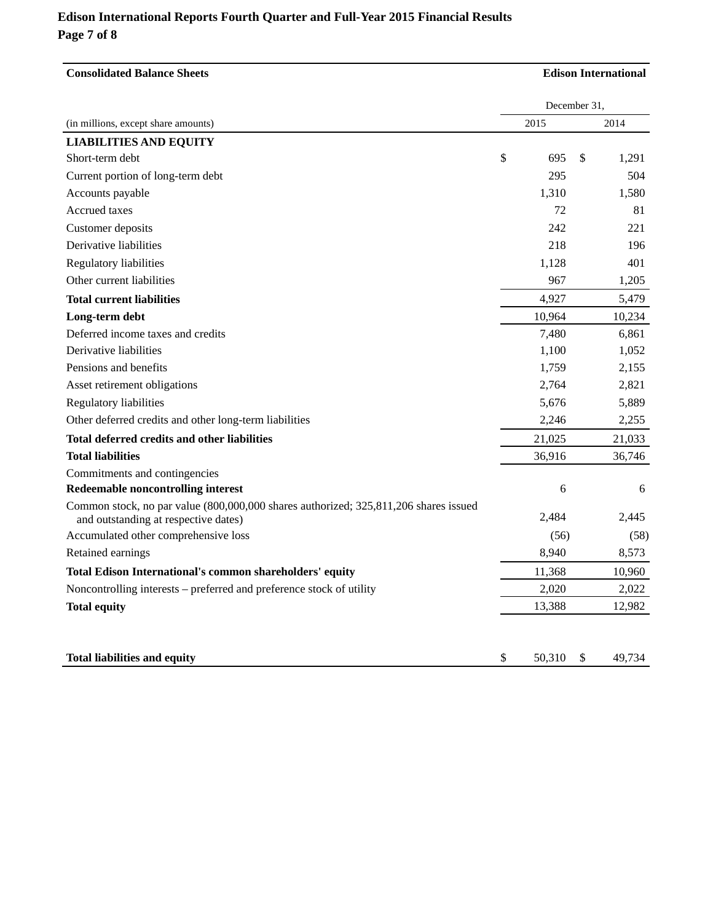# **Edison International Reports Fourth Quarter and Full-Year 2015 Financial Results Page 7 of 8**

| <b>Consolidated Balance Sheets</b>                                                                                           | <b>Edison International</b> |        |              |        |  |  |  |
|------------------------------------------------------------------------------------------------------------------------------|-----------------------------|--------|--------------|--------|--|--|--|
|                                                                                                                              |                             |        | December 31, |        |  |  |  |
| (in millions, except share amounts)                                                                                          |                             | 2015   |              | 2014   |  |  |  |
| <b>LIABILITIES AND EQUITY</b>                                                                                                |                             |        |              |        |  |  |  |
| Short-term debt                                                                                                              | \$                          | 695    | \$           | 1,291  |  |  |  |
| Current portion of long-term debt                                                                                            |                             | 295    |              | 504    |  |  |  |
| Accounts payable                                                                                                             |                             | 1,310  |              | 1,580  |  |  |  |
| Accrued taxes                                                                                                                |                             | 72     |              | 81     |  |  |  |
| Customer deposits                                                                                                            |                             | 242    |              | 221    |  |  |  |
| Derivative liabilities                                                                                                       |                             | 218    |              | 196    |  |  |  |
| <b>Regulatory liabilities</b>                                                                                                |                             | 1,128  |              | 401    |  |  |  |
| Other current liabilities                                                                                                    |                             | 967    |              | 1,205  |  |  |  |
| <b>Total current liabilities</b>                                                                                             |                             | 4,927  |              | 5,479  |  |  |  |
| Long-term debt                                                                                                               |                             | 10,964 |              | 10,234 |  |  |  |
| Deferred income taxes and credits                                                                                            |                             | 7,480  |              | 6,861  |  |  |  |
| Derivative liabilities                                                                                                       |                             | 1,100  |              | 1,052  |  |  |  |
| Pensions and benefits                                                                                                        |                             | 1,759  |              | 2,155  |  |  |  |
| Asset retirement obligations                                                                                                 |                             | 2,764  |              | 2,821  |  |  |  |
| Regulatory liabilities                                                                                                       |                             | 5,676  |              | 5,889  |  |  |  |
| Other deferred credits and other long-term liabilities                                                                       |                             | 2,246  |              | 2,255  |  |  |  |
| Total deferred credits and other liabilities                                                                                 |                             | 21,025 |              | 21,033 |  |  |  |
| <b>Total liabilities</b>                                                                                                     |                             | 36,916 |              | 36,746 |  |  |  |
| Commitments and contingencies                                                                                                |                             |        |              |        |  |  |  |
| Redeemable noncontrolling interest                                                                                           |                             | 6      |              | 6      |  |  |  |
| Common stock, no par value (800,000,000 shares authorized; 325,811,206 shares issued<br>and outstanding at respective dates) |                             | 2,484  |              | 2,445  |  |  |  |
| Accumulated other comprehensive loss                                                                                         |                             | (56)   |              | (58)   |  |  |  |
| Retained earnings                                                                                                            |                             | 8,940  |              | 8,573  |  |  |  |
| Total Edison International's common shareholders' equity                                                                     |                             | 11,368 |              | 10,960 |  |  |  |
| Noncontrolling interests – preferred and preference stock of utility                                                         |                             | 2,020  |              | 2,022  |  |  |  |
| <b>Total equity</b>                                                                                                          |                             | 13,388 |              | 12,982 |  |  |  |
| <b>Total liabilities and equity</b>                                                                                          | \$                          | 50.310 | \$           | 49,734 |  |  |  |